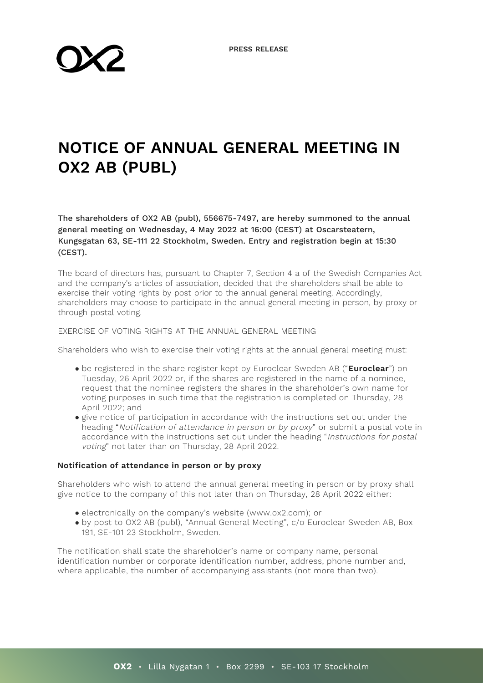# **NOTICE OF ANNUAL GENERAL MEETING IN OX2 AB (PUBL)**

The shareholders of OX2 AB (publ), 556675-7497, are hereby summoned to the annual general meeting on Wednesday, 4 May 2022 at 16:00 (CEST) at Oscarsteatern, Kungsgatan 63, SE-111 22 Stockholm, Sweden. Entry and registration begin at 15:30 (CEST).

The board of directors has, pursuant to Chapter 7, Section 4 a of the Swedish Companies Act and the company's articles of association, decided that the shareholders shall be able to exercise their voting rights by post prior to the annual general meeting. Accordingly, shareholders may choose to participate in the annual general meeting in person, by proxy or through postal voting.

#### EXERCISE OF VOTING RIGHTS AT THE ANNUAL GENERAL MEETING

Shareholders who wish to exercise their voting rights at the annual general meeting must:

- be registered in the share register kept by Euroclear Sweden AB ("**Euroclear**") on Tuesday, 26 April 2022 or, if the shares are registered in the name of a nominee, request that the nominee registers the shares in the shareholder's own name for voting purposes in such time that the registration is completed on Thursday, 28 April 2022; and
- give notice of participation in accordance with the instructions set out under the heading "Notification of attendance in person or by proxy" or submit a postal vote in accordance with the instructions set out under the heading "Instructions for postal voting" not later than on Thursday, 28 April 2022.

## **Notification of attendance in person or by proxy**

Shareholders who wish to attend the annual general meeting in person or by proxy shall give notice to the company of this not later than on Thursday, 28 April 2022 either:

- electronically on the company's website (www.ox2.com); or
- by post to OX2 AB (publ), "Annual General Meeting", c/o Euroclear Sweden AB, Box 191, SE-101 23 Stockholm, Sweden.

The notification shall state the shareholder's name or company name, personal identification number or corporate identification number, address, phone number and, where applicable, the number of accompanying assistants (not more than two).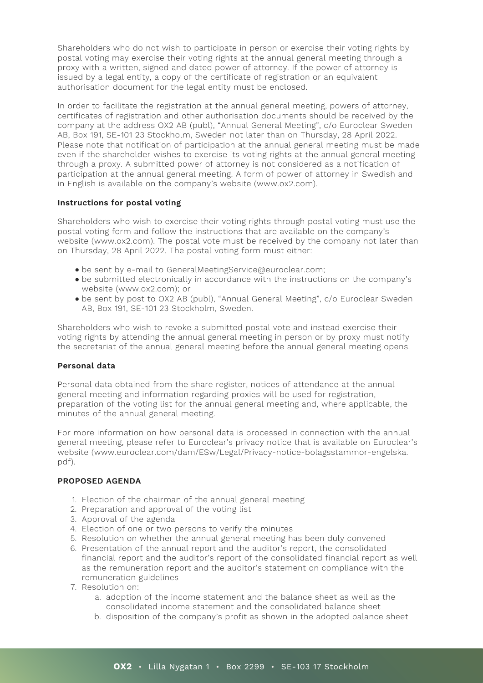Shareholders who do not wish to participate in person or exercise their voting rights by postal voting may exercise their voting rights at the annual general meeting through a proxy with a written, signed and dated power of attorney. If the power of attorney is issued by a legal entity, a copy of the certificate of registration or an equivalent authorisation document for the legal entity must be enclosed.

In order to facilitate the registration at the annual general meeting, powers of attorney, certificates of registration and other authorisation documents should be received by the company at the address OX2 AB (publ), "Annual General Meeting", c/o Euroclear Sweden AB, Box 191, SE-101 23 Stockholm, Sweden not later than on Thursday, 28 April 2022. Please note that notification of participation at the annual general meeting must be made even if the shareholder wishes to exercise its voting rights at the annual general meeting through a proxy. A submitted power of attorney is not considered as a notification of participation at the annual general meeting. A form of power of attorney in Swedish and in English is available on the company's website (www.ox2.com).

## **Instructions for postal voting**

Shareholders who wish to exercise their voting rights through postal voting must use the postal voting form and follow the instructions that are available on the company's website (www.ox2.com). The postal vote must be received by the company not later than on Thursday, 28 April 2022. The postal voting form must either:

- be sent by e-mail to GeneralMeetingService@euroclear.com;
- be submitted electronically in accordance with the instructions on the company's website (www.ox2.com); or
- be sent by post to OX2 AB (publ), "Annual General Meeting", c/o Euroclear Sweden AB, Box 191, SE-101 23 Stockholm, Sweden.

Shareholders who wish to revoke a submitted postal vote and instead exercise their voting rights by attending the annual general meeting in person or by proxy must notify the secretariat of the annual general meeting before the annual general meeting opens.

# **Personal data**

Personal data obtained from the share register, notices of attendance at the annual general meeting and information regarding proxies will be used for registration, preparation of the voting list for the annual general meeting and, where applicable, the minutes of the annual general meeting.

For more information on how personal data is processed in connection with the annual general meeting, please refer to Euroclear's privacy notice that is available on Euroclear's website (www.euroclear.com/dam/ESw/Legal/Privacy-notice-bolagsstammor-engelska. pdf).

# **PROPOSED AGENDA**

- 1. Election of the chairman of the annual general meeting
- 2. Preparation and approval of the voting list
- 3. Approval of the agenda
- 4. Election of one or two persons to verify the minutes
- 5. Resolution on whether the annual general meeting has been duly convened
- 6. Presentation of the annual report and the auditor's report, the consolidated financial report and the auditor's report of the consolidated financial report as well as the remuneration report and the auditor's statement on compliance with the remuneration guidelines
- 7. Resolution on:
	- a. adoption of the income statement and the balance sheet as well as the consolidated income statement and the consolidated balance sheet
	- b. disposition of the company's profit as shown in the adopted balance sheet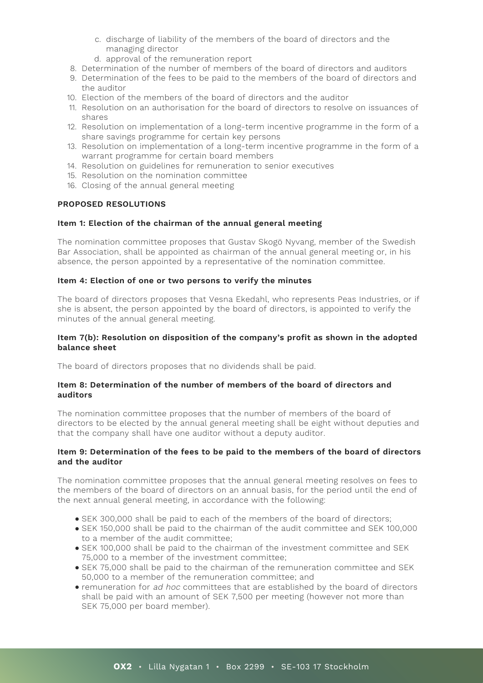- c. discharge of liability of the members of the board of directors and the managing director
- d. approval of the remuneration report
- 8. Determination of the number of members of the board of directors and auditors
- 9. Determination of the fees to be paid to the members of the board of directors and the auditor
- 10. Election of the members of the board of directors and the auditor
- 11. Resolution on an authorisation for the board of directors to resolve on issuances of shares
- 12. Resolution on implementation of a long-term incentive programme in the form of a share savings programme for certain key persons
- 13. Resolution on implementation of a long-term incentive programme in the form of a warrant programme for certain board members
- 14. Resolution on guidelines for remuneration to senior executives
- 15. Resolution on the nomination committee
- 16. Closing of the annual general meeting

# **PROPOSED RESOLUTIONS**

# **Item 1: Election of the chairman of the annual general meeting**

The nomination committee proposes that Gustav Skogö Nyvang, member of the Swedish Bar Association, shall be appointed as chairman of the annual general meeting or, in his absence, the person appointed by a representative of the nomination committee.

# **Item 4: Election of one or two persons to verify the minutes**

The board of directors proposes that Vesna Ekedahl, who represents Peas Industries, or if she is absent, the person appointed by the board of directors, is appointed to verify the minutes of the annual general meeting.

## **Item 7(b): Resolution on disposition of the company's profit as shown in the adopted balance sheet**

The board of directors proposes that no dividends shall be paid.

## **Item 8: Determination of the number of members of the board of directors and auditors**

The nomination committee proposes that the number of members of the board of directors to be elected by the annual general meeting shall be eight without deputies and that the company shall have one auditor without a deputy auditor.

# **Item 9: Determination of the fees to be paid to the members of the board of directors and the auditor**

The nomination committee proposes that the annual general meeting resolves on fees to the members of the board of directors on an annual basis, for the period until the end of the next annual general meeting, in accordance with the following:

- SEK 300,000 shall be paid to each of the members of the board of directors;
- SEK 150,000 shall be paid to the chairman of the audit committee and SEK 100,000 to a member of the audit committee;
- SEK 100,000 shall be paid to the chairman of the investment committee and SEK 75,000 to a member of the investment committee;
- SEK 75,000 shall be paid to the chairman of the remuneration committee and SEK 50,000 to a member of the remuneration committee; and
- remuneration for ad hoc committees that are established by the board of directors shall be paid with an amount of SEK 7,500 per meeting (however not more than SEK 75,000 per board member).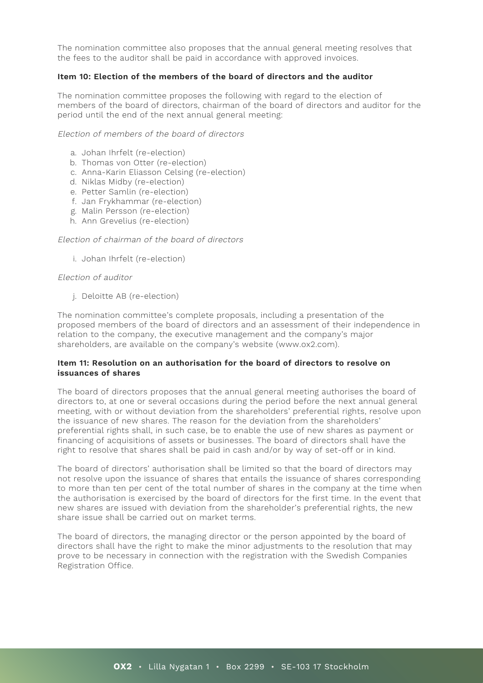The nomination committee also proposes that the annual general meeting resolves that the fees to the auditor shall be paid in accordance with approved invoices.

# **Item 10: Election of the members of the board of directors and the auditor**

The nomination committee proposes the following with regard to the election of members of the board of directors, chairman of the board of directors and auditor for the period until the end of the next annual general meeting:

## Election of members of the board of directors

- a. Johan Ihrfelt (re-election)
- b. Thomas von Otter (re-election)
- c. Anna-Karin Eliasson Celsing (re-election)
- d. Niklas Midby (re-election)
- e. Petter Samlin (re-election)
- f. Jan Frykhammar (re-election)
- g. Malin Persson (re-election)
- h. Ann Grevelius (re-election)

## Election of chairman of the board of directors

i. Johan Ihrfelt (re-election)

## Election of auditor

j. Deloitte AB (re-election)

The nomination committee's complete proposals, including a presentation of the proposed members of the board of directors and an assessment of their independence in relation to the company, the executive management and the company's major shareholders, are available on the company's website (www.ox2.com).

## **Item 11: Resolution on an authorisation for the board of directors to resolve on issuances of shares**

The board of directors proposes that the annual general meeting authorises the board of directors to, at one or several occasions during the period before the next annual general meeting, with or without deviation from the shareholders' preferential rights, resolve upon the issuance of new shares. The reason for the deviation from the shareholders' preferential rights shall, in such case, be to enable the use of new shares as payment or financing of acquisitions of assets or businesses. The board of directors shall have the right to resolve that shares shall be paid in cash and/or by way of set-off or in kind.

The board of directors' authorisation shall be limited so that the board of directors may not resolve upon the issuance of shares that entails the issuance of shares corresponding to more than ten per cent of the total number of shares in the company at the time when the authorisation is exercised by the board of directors for the first time. In the event that new shares are issued with deviation from the shareholder's preferential rights, the new share issue shall be carried out on market terms.

The board of directors, the managing director or the person appointed by the board of directors shall have the right to make the minor adjustments to the resolution that may prove to be necessary in connection with the registration with the Swedish Companies Registration Office.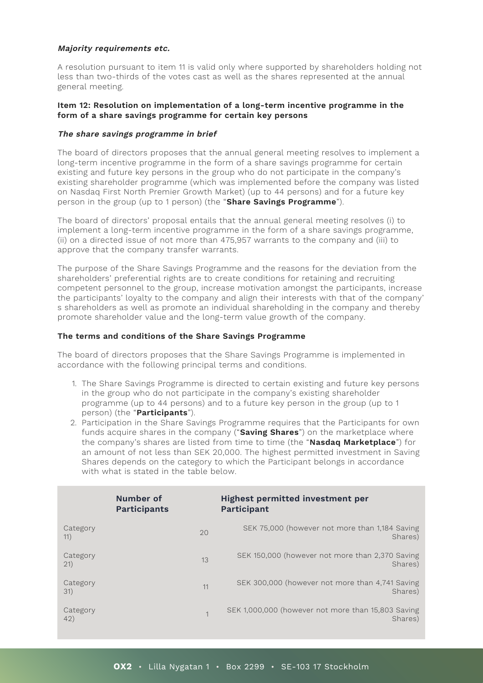## **Majority requirements etc.**

A resolution pursuant to item 11 is valid only where supported by shareholders holding not less than two-thirds of the votes cast as well as the shares represented at the annual general meeting.

## **Item 12: Resolution on implementation of a long-term incentive programme in the form of a share savings programme for certain key persons**

# **The share savings programme in brief**

The board of directors proposes that the annual general meeting resolves to implement a long-term incentive programme in the form of a share savings programme for certain existing and future key persons in the group who do not participate in the company's existing shareholder programme (which was implemented before the company was listed on Nasdaq First North Premier Growth Market) (up to 44 persons) and for a future key person in the group (up to 1 person) (the "**Share Savings Programme**").

The board of directors' proposal entails that the annual general meeting resolves (i) to implement a long-term incentive programme in the form of a share savings programme, (ii) on a directed issue of not more than 475,957 warrants to the company and (iii) to approve that the company transfer warrants.

The purpose of the Share Savings Programme and the reasons for the deviation from the shareholders' preferential rights are to create conditions for retaining and recruiting competent personnel to the group, increase motivation amongst the participants, increase the participants' loyalty to the company and align their interests with that of the company' s shareholders as well as promote an individual shareholding in the company and thereby promote shareholder value and the long-term value growth of the company.

## **The terms and conditions of the Share Savings Programme**

The board of directors proposes that the Share Savings Programme is implemented in accordance with the following principal terms and conditions.

- 1. The Share Savings Programme is directed to certain existing and future key persons in the group who do not participate in the company's existing shareholder programme (up to 44 persons) and to a future key person in the group (up to 1 person) (the "**Participants**").
- 2. Participation in the Share Savings Programme requires that the Participants for own funds acquire shares in the company ("**Saving Shares**") on the marketplace where the company's shares are listed from time to time (the "**Nasdaq Marketplace**") for an amount of not less than SEK 20,000. The highest permitted investment in Saving Shares depends on the category to which the Participant belongs in accordance with what is stated in the table below.

|                  | Number of<br>Participants | <b>Highest permitted investment per</b><br>Participant        |
|------------------|---------------------------|---------------------------------------------------------------|
| Category<br>11)  | 20                        | SEK 75,000 (however not more than 1,184 Saving<br>Shares)     |
| Category<br>(21) | 13                        | SEK 150,000 (however not more than 2,370 Saving<br>Shares)    |
| Category<br>31)  | 11                        | SEK 300,000 (however not more than 4,741 Saving<br>Shares)    |
| Category<br>42)  | $\overline{1}$            | SEK 1,000,000 (however not more than 15,803 Saving<br>Shares) |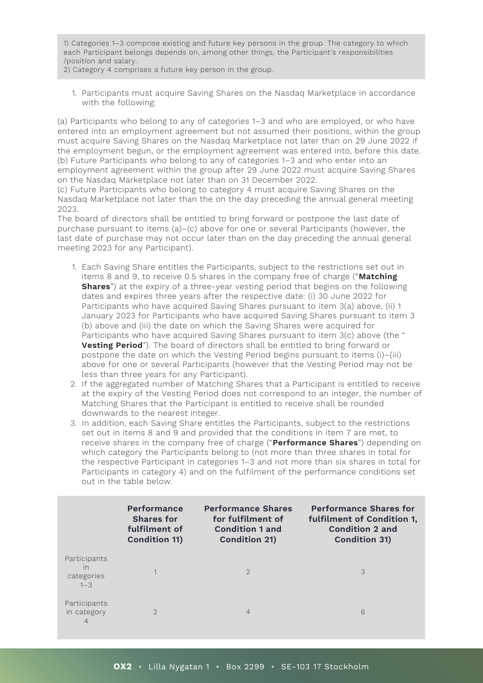1) Categories 1–3 comprise existing and future key persons in the group. The category to which each Participant belongs depends on, among other things, the Participant's responsibilities /position and salary.

2) Category 4 comprises a future key person in the group.

1. Participants must acquire Saving Shares on the Nasdaq Marketplace in accordance with the following:

(a) Participants who belong to any of categories 1–3 and who are employed, or who have entered into an employment agreement but not assumed their positions, within the group must acquire Saving Shares on the Nasdaq Marketplace not later than on 29 June 2022 if the employment begun, or the employment agreement was entered into, before this date. (b) Future Participants who belong to any of categories 1–3 and who enter into an employment agreement within the group after 29 June 2022 must acquire Saving Shares on the Nasdaq Marketplace not later than on 31 December 2022.

(c) Future Participants who belong to category 4 must acquire Saving Shares on the Nasdaq Marketplace not later than the on the day preceding the annual general meeting 2023.

The board of directors shall be entitled to bring forward or postpone the last date of purchase pursuant to items (a)–(c) above for one or several Participants (however, the last date of purchase may not occur later than on the day preceding the annual general meeting 2023 for any Participant).

- 1. Each Saving Share entitles the Participants, subject to the restrictions set out in items 8 and 9, to receive 0.5 shares in the company free of charge ("**Matching Shares**") at the expiry of a three-year vesting period that begins on the following dates and expires three years after the respective date: (i) 30 June 2022 for Participants who have acquired Saving Shares pursuant to item 3(a) above, (ii) 1 January 2023 for Participants who have acquired Saving Shares pursuant to item 3 (b) above and (iii) the date on which the Saving Shares were acquired for Participants who have acquired Saving Shares pursuant to item 3(c) above (the " **Vesting Period**"). The board of directors shall be entitled to bring forward or postpone the date on which the Vesting Period begins pursuant to items (i)–(iii) above for one or several Participants (however that the Vesting Period may not be less than three years for any Participant).
- 2. If the aggregated number of Matching Shares that a Participant is entitled to receive at the expiry of the Vesting Period does not correspond to an integer, the number of Matching Shares that the Participant is entitled to receive shall be rounded downwards to the nearest integer.
- 3. In addition, each Saving Share entitles the Participants, subject to the restrictions set out in items 8 and 9 and provided that the conditions in item 7 are met, to receive shares in the company free of charge ("**Performance Shares**") depending on which category the Participants belong to (not more than three shares in total for the respective Participant in categories 1–3 and not more than six shares in total for Participants in category 4) and on the fulfilment of the performance conditions set out in the table below.

|                                             | Performance<br><b>Shares for</b><br>fulfilment of<br><b>Condition 11)</b> | <b>Performance Shares</b><br>for fulfilment of<br><b>Condition 1 and</b><br><b>Condition 21)</b> | <b>Performance Shares for</b><br>fulfilment of Condition 1,<br>Condition 2 and<br><b>Condition 31)</b> |
|---------------------------------------------|---------------------------------------------------------------------------|--------------------------------------------------------------------------------------------------|--------------------------------------------------------------------------------------------------------|
| Participants<br>in<br>categories<br>$1 - 3$ |                                                                           | $\mathcal{D}$                                                                                    | 3                                                                                                      |
| Participants<br>in category<br>4            | $\mathcal{D}$                                                             | $\overline{4}$                                                                                   | 6                                                                                                      |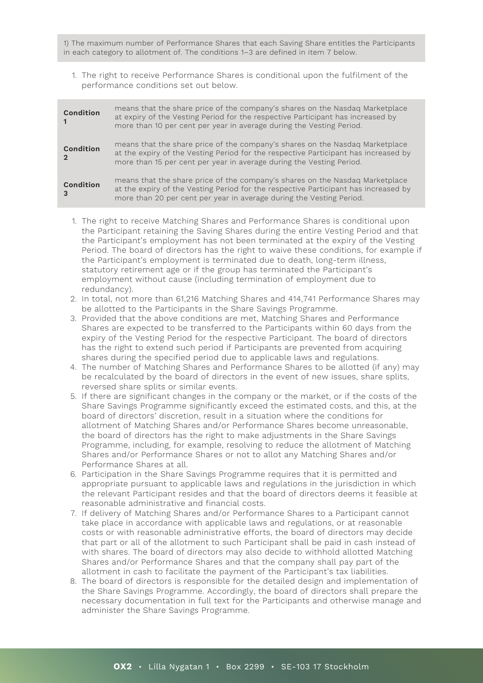1) The maximum number of Performance Shares that each Saving Share entitles the Participants in each category to allotment of. The conditions 1–3 are defined in item 7 below.

1. The right to receive Performance Shares is conditional upon the fulfilment of the performance conditions set out below.

| Condition | means that the share price of the company's shares on the Nasdaq Marketplace<br>at expiry of the Vesting Period for the respective Participant has increased by<br>more than 10 per cent per year in average during the Vesting Period.     |
|-----------|---------------------------------------------------------------------------------------------------------------------------------------------------------------------------------------------------------------------------------------------|
| Condition | means that the share price of the company's shares on the Nasdaq Marketplace<br>at the expiry of the Vesting Period for the respective Participant has increased by<br>more than 15 per cent per year in average during the Vesting Period. |
| Condition | means that the share price of the company's shares on the Nasdaq Marketplace<br>at the expiry of the Vesting Period for the respective Participant has increased by<br>more than 20 per cent per year in average during the Vesting Period. |

- 1. The right to receive Matching Shares and Performance Shares is conditional upon the Participant retaining the Saving Shares during the entire Vesting Period and that the Participant's employment has not been terminated at the expiry of the Vesting Period. The board of directors has the right to waive these conditions, for example if the Participant's employment is terminated due to death, long-term illness, statutory retirement age or if the group has terminated the Participant's employment without cause (including termination of employment due to redundancy).
- 2. In total, not more than 61,216 Matching Shares and 414,741 Performance Shares may be allotted to the Participants in the Share Savings Programme.
- 3. Provided that the above conditions are met, Matching Shares and Performance Shares are expected to be transferred to the Participants within 60 days from the expiry of the Vesting Period for the respective Participant. The board of directors has the right to extend such period if Participants are prevented from acquiring shares during the specified period due to applicable laws and regulations.
- 4. The number of Matching Shares and Performance Shares to be allotted (if any) may be recalculated by the board of directors in the event of new issues, share splits, reversed share splits or similar events.
- 5. If there are significant changes in the company or the market, or if the costs of the Share Savings Programme significantly exceed the estimated costs, and this, at the board of directors' discretion, result in a situation where the conditions for allotment of Matching Shares and/or Performance Shares become unreasonable, the board of directors has the right to make adjustments in the Share Savings Programme, including, for example, resolving to reduce the allotment of Matching Shares and/or Performance Shares or not to allot any Matching Shares and/or Performance Shares at all.
- 6. Participation in the Share Savings Programme requires that it is permitted and appropriate pursuant to applicable laws and regulations in the jurisdiction in which the relevant Participant resides and that the board of directors deems it feasible at reasonable administrative and financial costs.
- 7. If delivery of Matching Shares and/or Performance Shares to a Participant cannot take place in accordance with applicable laws and regulations, or at reasonable costs or with reasonable administrative efforts, the board of directors may decide that part or all of the allotment to such Participant shall be paid in cash instead of with shares. The board of directors may also decide to withhold allotted Matching Shares and/or Performance Shares and that the company shall pay part of the allotment in cash to facilitate the payment of the Participant's tax liabilities.
- 8. The board of directors is responsible for the detailed design and implementation of the Share Savings Programme. Accordingly, the board of directors shall prepare the necessary documentation in full text for the Participants and otherwise manage and administer the Share Savings Programme.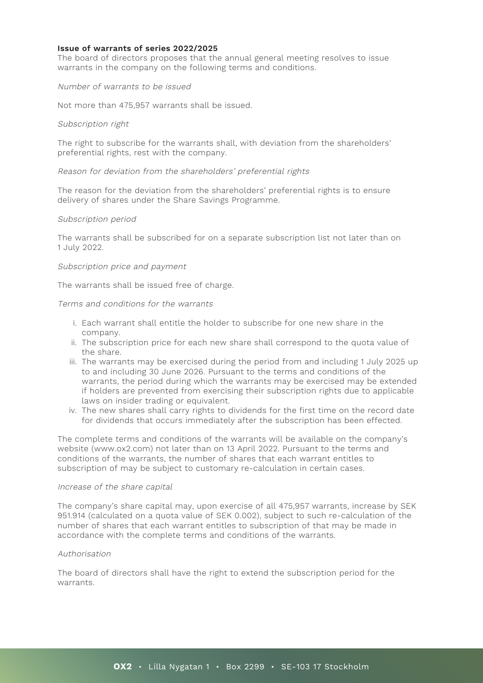## **Issue of warrants of series 2022/2025**

The board of directors proposes that the annual general meeting resolves to issue warrants in the company on the following terms and conditions.

## Number of warrants to be issued

Not more than 475,957 warrants shall be issued.

#### Subscription right

The right to subscribe for the warrants shall, with deviation from the shareholders' preferential rights, rest with the company.

#### Reason for deviation from the shareholders' preferential rights

The reason for the deviation from the shareholders' preferential rights is to ensure delivery of shares under the Share Savings Programme.

#### Subscription period

The warrants shall be subscribed for on a separate subscription list not later than on 1 July 2022.

#### Subscription price and payment

The warrants shall be issued free of charge.

## Terms and conditions for the warrants

- i. Each warrant shall entitle the holder to subscribe for one new share in the company.
- ii. The subscription price for each new share shall correspond to the quota value of the share.
- iii. The warrants may be exercised during the period from and including 1 July 2025 up to and including 30 June 2026. Pursuant to the terms and conditions of the warrants, the period during which the warrants may be exercised may be extended if holders are prevented from exercising their subscription rights due to applicable laws on insider trading or equivalent.
- iv. The new shares shall carry rights to dividends for the first time on the record date for dividends that occurs immediately after the subscription has been effected.

The complete terms and conditions of the warrants will be available on the company's website (www.ox2.com) not later than on 13 April 2022. Pursuant to the terms and conditions of the warrants, the number of shares that each warrant entitles to subscription of may be subject to customary re-calculation in certain cases.

#### Increase of the share capital

The company's share capital may, upon exercise of all 475,957 warrants, increase by SEK 951.914 (calculated on a quota value of SEK 0.002), subject to such re-calculation of the number of shares that each warrant entitles to subscription of that may be made in accordance with the complete terms and conditions of the warrants.

## Authorisation

The board of directors shall have the right to extend the subscription period for the warrants.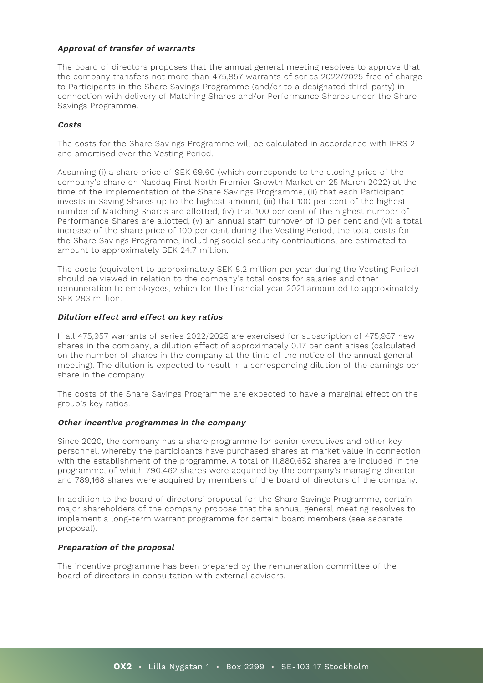# **Approval of transfer of warrants**

The board of directors proposes that the annual general meeting resolves to approve that the company transfers not more than 475,957 warrants of series 2022/2025 free of charge to Participants in the Share Savings Programme (and/or to a designated third-party) in connection with delivery of Matching Shares and/or Performance Shares under the Share Savings Programme.

## **Costs**

The costs for the Share Savings Programme will be calculated in accordance with IFRS 2 and amortised over the Vesting Period.

Assuming (i) a share price of SEK 69.60 (which corresponds to the closing price of the company's share on Nasdaq First North Premier Growth Market on 25 March 2022) at the time of the implementation of the Share Savings Programme, (ii) that each Participant invests in Saving Shares up to the highest amount, (iii) that 100 per cent of the highest number of Matching Shares are allotted, (iv) that 100 per cent of the highest number of Performance Shares are allotted, (v) an annual staff turnover of 10 per cent and (vi) a total increase of the share price of 100 per cent during the Vesting Period, the total costs for the Share Savings Programme, including social security contributions, are estimated to amount to approximately SEK 24.7 million.

The costs (equivalent to approximately SEK 8.2 million per year during the Vesting Period) should be viewed in relation to the company's total costs for salaries and other remuneration to employees, which for the financial year 2021 amounted to approximately SEK 283 million.

## **Dilution effect and effect on key ratios**

If all 475,957 warrants of series 2022/2025 are exercised for subscription of 475,957 new shares in the company, a dilution effect of approximately 0.17 per cent arises (calculated on the number of shares in the company at the time of the notice of the annual general meeting). The dilution is expected to result in a corresponding dilution of the earnings per share in the company.

The costs of the Share Savings Programme are expected to have a marginal effect on the group's key ratios.

#### **Other incentive programmes in the company**

Since 2020, the company has a share programme for senior executives and other key personnel, whereby the participants have purchased shares at market value in connection with the establishment of the programme. A total of 11,880,652 shares are included in the programme, of which 790,462 shares were acquired by the company's managing director and 789,168 shares were acquired by members of the board of directors of the company.

In addition to the board of directors' proposal for the Share Savings Programme, certain major shareholders of the company propose that the annual general meeting resolves to implement a long-term warrant programme for certain board members (see separate proposal).

## **Preparation of the proposal**

The incentive programme has been prepared by the remuneration committee of the board of directors in consultation with external advisors.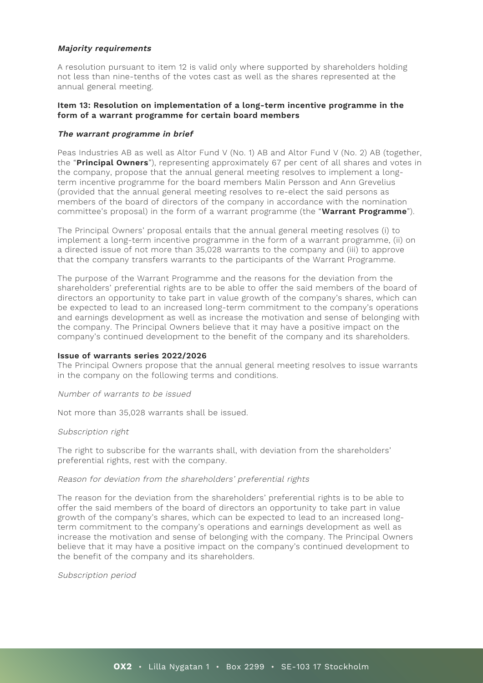## **Majority requirements**

A resolution pursuant to item 12 is valid only where supported by shareholders holding not less than nine-tenths of the votes cast as well as the shares represented at the annual general meeting.

## **Item 13: Resolution on implementation of a long-term incentive programme in the form of a warrant programme for certain board members**

## **The warrant programme in brief**

Peas Industries AB as well as Altor Fund V (No. 1) AB and Altor Fund V (No. 2) AB (together, the "**Principal Owners**"), representing approximately 67 per cent of all shares and votes in the company, propose that the annual general meeting resolves to implement a longterm incentive programme for the board members Malin Persson and Ann Grevelius (provided that the annual general meeting resolves to re-elect the said persons as members of the board of directors of the company in accordance with the nomination committee's proposal) in the form of a warrant programme (the "**Warrant Programme**").

The Principal Owners' proposal entails that the annual general meeting resolves (i) to implement a long-term incentive programme in the form of a warrant programme, (ii) on a directed issue of not more than 35,028 warrants to the company and (iii) to approve that the company transfers warrants to the participants of the Warrant Programme.

The purpose of the Warrant Programme and the reasons for the deviation from the shareholders' preferential rights are to be able to offer the said members of the board of directors an opportunity to take part in value growth of the company's shares, which can be expected to lead to an increased long-term commitment to the company's operations and earnings development as well as increase the motivation and sense of belonging with the company. The Principal Owners believe that it may have a positive impact on the company's continued development to the benefit of the company and its shareholders.

## **Issue of warrants series 2022/2026**

The Principal Owners propose that the annual general meeting resolves to issue warrants in the company on the following terms and conditions.

Number of warrants to be issued

Not more than 35,028 warrants shall be issued.

#### Subscription right

The right to subscribe for the warrants shall, with deviation from the shareholders' preferential rights, rest with the company.

## Reason for deviation from the shareholders' preferential rights

The reason for the deviation from the shareholders' preferential rights is to be able to offer the said members of the board of directors an opportunity to take part in value growth of the company's shares, which can be expected to lead to an increased longterm commitment to the company's operations and earnings development as well as increase the motivation and sense of belonging with the company. The Principal Owners believe that it may have a positive impact on the company's continued development to the benefit of the company and its shareholders.

Subscription period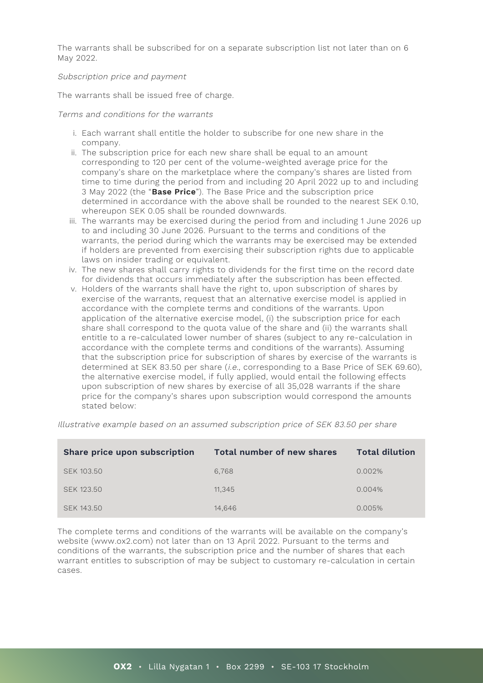The warrants shall be subscribed for on a separate subscription list not later than on 6 May 2022.

## Subscription price and payment

The warrants shall be issued free of charge.

## Terms and conditions for the warrants

- i. Each warrant shall entitle the holder to subscribe for one new share in the company.
- ii. The subscription price for each new share shall be equal to an amount corresponding to 120 per cent of the volume-weighted average price for the company's share on the marketplace where the company's shares are listed from time to time during the period from and including 20 April 2022 up to and including 3 May 2022 (the "**Base Price**"). The Base Price and the subscription price determined in accordance with the above shall be rounded to the nearest SEK 0.10, whereupon SEK 0.05 shall be rounded downwards.
- iii. The warrants may be exercised during the period from and including 1 June 2026 up to and including 30 June 2026. Pursuant to the terms and conditions of the warrants, the period during which the warrants may be exercised may be extended if holders are prevented from exercising their subscription rights due to applicable laws on insider trading or equivalent.
- iv. The new shares shall carry rights to dividends for the first time on the record date for dividends that occurs immediately after the subscription has been effected.
- v. Holders of the warrants shall have the right to, upon subscription of shares by exercise of the warrants, request that an alternative exercise model is applied in accordance with the complete terms and conditions of the warrants. Upon application of the alternative exercise model, (i) the subscription price for each share shall correspond to the quota value of the share and (ii) the warrants shall entitle to a re-calculated lower number of shares (subject to any re-calculation in accordance with the complete terms and conditions of the warrants). Assuming that the subscription price for subscription of shares by exercise of the warrants is determined at SEK 83.50 per share (i.e., corresponding to a Base Price of SEK 69.60), the alternative exercise model, if fully applied, would entail the following effects upon subscription of new shares by exercise of all 35,028 warrants if the share price for the company's shares upon subscription would correspond the amounts stated below:

| Share price upon subscription | Total number of new shares | <b>Total dilution</b> |
|-------------------------------|----------------------------|-----------------------|
| SEK 103.50                    | 6.768                      | 0.002%                |
| SEK 123.50                    | 11.345                     | $0.004\%$             |
| SEK 143.50                    | 14.646                     | 0.005%                |

Illustrative example based on an assumed subscription price of SEK 83.50 per share

The complete terms and conditions of the warrants will be available on the company's website (www.ox2.com) not later than on 13 April 2022. Pursuant to the terms and conditions of the warrants, the subscription price and the number of shares that each warrant entitles to subscription of may be subject to customary re-calculation in certain cases.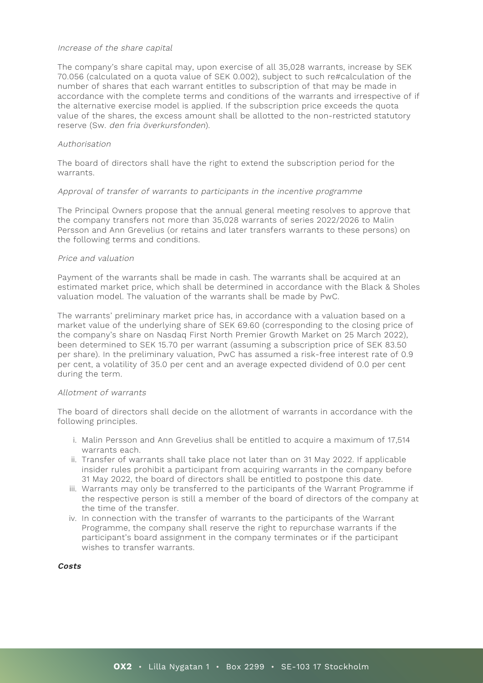#### Increase of the share capital

The company's share capital may, upon exercise of all 35,028 warrants, increase by SEK 70.056 (calculated on a quota value of SEK 0.002), subject to such re#calculation of the number of shares that each warrant entitles to subscription of that may be made in accordance with the complete terms and conditions of the warrants and irrespective of if the alternative exercise model is applied. If the subscription price exceeds the quota value of the shares, the excess amount shall be allotted to the non-restricted statutory reserve (Sw. den fria överkursfonden).

## Authorisation

The board of directors shall have the right to extend the subscription period for the warrants.

## Approval of transfer of warrants to participants in the incentive programme

The Principal Owners propose that the annual general meeting resolves to approve that the company transfers not more than 35,028 warrants of series 2022/2026 to Malin Persson and Ann Grevelius (or retains and later transfers warrants to these persons) on the following terms and conditions.

#### Price and valuation

Payment of the warrants shall be made in cash. The warrants shall be acquired at an estimated market price, which shall be determined in accordance with the Black & Sholes valuation model. The valuation of the warrants shall be made by PwC.

The warrants' preliminary market price has, in accordance with a valuation based on a market value of the underlying share of SEK 69.60 (corresponding to the closing price of the company's share on Nasdaq First North Premier Growth Market on 25 March 2022), been determined to SEK 15.70 per warrant (assuming a subscription price of SEK 83.50 per share). In the preliminary valuation, PwC has assumed a risk-free interest rate of 0.9 per cent, a volatility of 35.0 per cent and an average expected dividend of 0.0 per cent during the term.

## Allotment of warrants

The board of directors shall decide on the allotment of warrants in accordance with the following principles.

- i. Malin Persson and Ann Grevelius shall be entitled to acquire a maximum of 17,514 warrants each.
- ii. Transfer of warrants shall take place not later than on 31 May 2022. If applicable insider rules prohibit a participant from acquiring warrants in the company before 31 May 2022, the board of directors shall be entitled to postpone this date.
- iii. Warrants may only be transferred to the participants of the Warrant Programme if the respective person is still a member of the board of directors of the company at the time of the transfer.
- iv. In connection with the transfer of warrants to the participants of the Warrant Programme, the company shall reserve the right to repurchase warrants if the participant's board assignment in the company terminates or if the participant wishes to transfer warrants.

**Costs**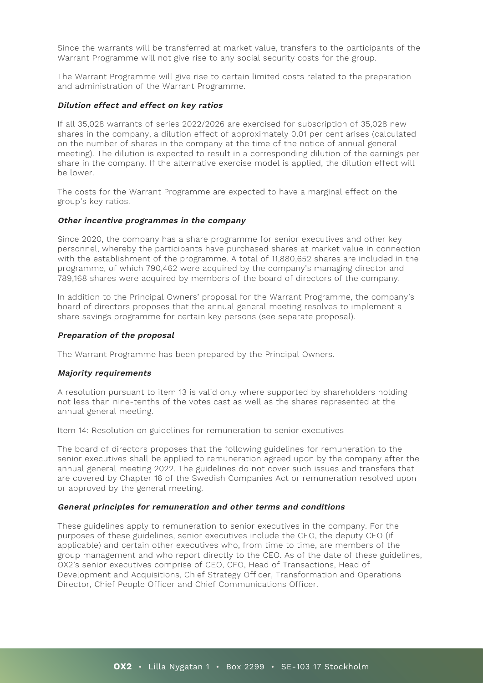Since the warrants will be transferred at market value, transfers to the participants of the Warrant Programme will not give rise to any social security costs for the group.

The Warrant Programme will give rise to certain limited costs related to the preparation and administration of the Warrant Programme.

#### **Dilution effect and effect on key ratios**

If all 35,028 warrants of series 2022/2026 are exercised for subscription of 35,028 new shares in the company, a dilution effect of approximately 0.01 per cent arises (calculated on the number of shares in the company at the time of the notice of annual general meeting). The dilution is expected to result in a corresponding dilution of the earnings per share in the company. If the alternative exercise model is applied, the dilution effect will be lower.

The costs for the Warrant Programme are expected to have a marginal effect on the group's key ratios.

#### **Other incentive programmes in the company**

Since 2020, the company has a share programme for senior executives and other key personnel, whereby the participants have purchased shares at market value in connection with the establishment of the programme. A total of 11,880,652 shares are included in the programme, of which 790,462 were acquired by the company's managing director and 789,168 shares were acquired by members of the board of directors of the company.

In addition to the Principal Owners' proposal for the Warrant Programme, the company's board of directors proposes that the annual general meeting resolves to implement a share savings programme for certain key persons (see separate proposal).

#### **Preparation of the proposal**

The Warrant Programme has been prepared by the Principal Owners.

#### **Majority requirements**

A resolution pursuant to item 13 is valid only where supported by shareholders holding not less than nine-tenths of the votes cast as well as the shares represented at the annual general meeting.

Item 14: Resolution on guidelines for remuneration to senior executives

The board of directors proposes that the following guidelines for remuneration to the senior executives shall be applied to remuneration agreed upon by the company after the annual general meeting 2022. The guidelines do not cover such issues and transfers that are covered by Chapter 16 of the Swedish Companies Act or remuneration resolved upon or approved by the general meeting.

#### **General principles for remuneration and other terms and conditions**

These guidelines apply to remuneration to senior executives in the company. For the purposes of these guidelines, senior executives include the CEO, the deputy CEO (if applicable) and certain other executives who, from time to time, are members of the group management and who report directly to the CEO. As of the date of these guidelines, OX2's senior executives comprise of CEO, CFO, Head of Transactions, Head of Development and Acquisitions, Chief Strategy Officer, Transformation and Operations Director, Chief People Officer and Chief Communications Officer.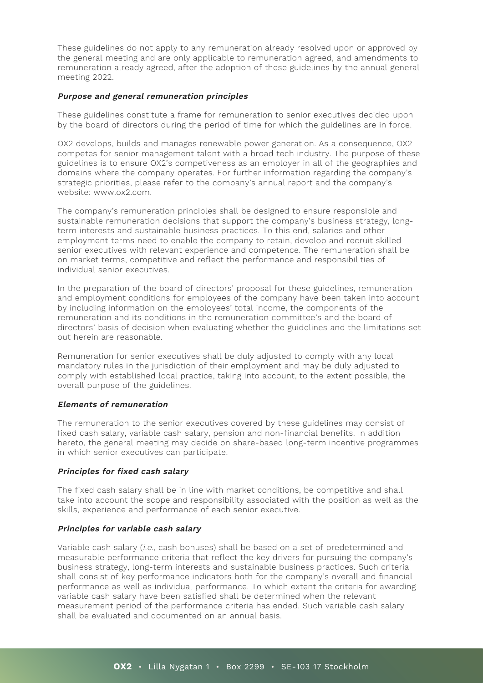These guidelines do not apply to any remuneration already resolved upon or approved by the general meeting and are only applicable to remuneration agreed, and amendments to remuneration already agreed, after the adoption of these guidelines by the annual general meeting 2022.

## **Purpose and general remuneration principles**

These guidelines constitute a frame for remuneration to senior executives decided upon by the board of directors during the period of time for which the guidelines are in force.

OX2 develops, builds and manages renewable power generation. As a consequence, OX2 competes for senior management talent with a broad tech industry. The purpose of these guidelines is to ensure OX2's competiveness as an employer in all of the geographies and domains where the company operates. For further information regarding the company's strategic priorities, please refer to the company's annual report and the company's website: www.ox2.com.

The company's remuneration principles shall be designed to ensure responsible and sustainable remuneration decisions that support the company's business strategy, longterm interests and sustainable business practices. To this end, salaries and other employment terms need to enable the company to retain, develop and recruit skilled senior executives with relevant experience and competence. The remuneration shall be on market terms, competitive and reflect the performance and responsibilities of individual senior executives.

In the preparation of the board of directors' proposal for these guidelines, remuneration and employment conditions for employees of the company have been taken into account by including information on the employees' total income, the components of the remuneration and its conditions in the remuneration committee's and the board of directors' basis of decision when evaluating whether the guidelines and the limitations set out herein are reasonable.

Remuneration for senior executives shall be duly adjusted to comply with any local mandatory rules in the jurisdiction of their employment and may be duly adjusted to comply with established local practice, taking into account, to the extent possible, the overall purpose of the guidelines.

## **Elements of remuneration**

The remuneration to the senior executives covered by these guidelines may consist of fixed cash salary, variable cash salary, pension and non-financial benefits. In addition hereto, the general meeting may decide on share-based long-term incentive programmes in which senior executives can participate.

## **Principles for fixed cash salary**

The fixed cash salary shall be in line with market conditions, be competitive and shall take into account the scope and responsibility associated with the position as well as the skills, experience and performance of each senior executive.

# **Principles for variable cash salary**

Variable cash salary (i.e., cash bonuses) shall be based on a set of predetermined and measurable performance criteria that reflect the key drivers for pursuing the company's business strategy, long-term interests and sustainable business practices. Such criteria shall consist of key performance indicators both for the company's overall and financial performance as well as individual performance. To which extent the criteria for awarding variable cash salary have been satisfied shall be determined when the relevant measurement period of the performance criteria has ended. Such variable cash salary shall be evaluated and documented on an annual basis.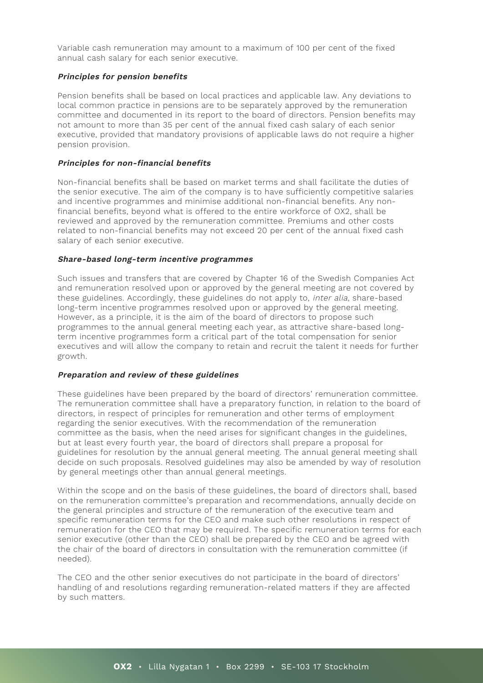Variable cash remuneration may amount to a maximum of 100 per cent of the fixed annual cash salary for each senior executive.

## **Principles for pension benefits**

Pension benefits shall be based on local practices and applicable law. Any deviations to local common practice in pensions are to be separately approved by the remuneration committee and documented in its report to the board of directors. Pension benefits may not amount to more than 35 per cent of the annual fixed cash salary of each senior executive, provided that mandatory provisions of applicable laws do not require a higher pension provision.

## **Principles for non-financial benefits**

Non-financial benefits shall be based on market terms and shall facilitate the duties of the senior executive. The aim of the company is to have sufficiently competitive salaries and incentive programmes and minimise additional non-financial benefits. Any nonfinancial benefits, beyond what is offered to the entire workforce of OX2, shall be reviewed and approved by the remuneration committee. Premiums and other costs related to non-financial benefits may not exceed 20 per cent of the annual fixed cash salary of each senior executive.

## **Share-based long-term incentive programmes**

Such issues and transfers that are covered by Chapter 16 of the Swedish Companies Act and remuneration resolved upon or approved by the general meeting are not covered by these guidelines. Accordingly, these guidelines do not apply to, inter alia, share-based long-term incentive programmes resolved upon or approved by the general meeting. However, as a principle, it is the aim of the board of directors to propose such programmes to the annual general meeting each year, as attractive share-based longterm incentive programmes form a critical part of the total compensation for senior executives and will allow the company to retain and recruit the talent it needs for further growth.

# **Preparation and review of these guidelines**

These guidelines have been prepared by the board of directors' remuneration committee. The remuneration committee shall have a preparatory function, in relation to the board of directors, in respect of principles for remuneration and other terms of employment regarding the senior executives. With the recommendation of the remuneration committee as the basis, when the need arises for significant changes in the guidelines, but at least every fourth year, the board of directors shall prepare a proposal for guidelines for resolution by the annual general meeting. The annual general meeting shall decide on such proposals. Resolved guidelines may also be amended by way of resolution by general meetings other than annual general meetings.

Within the scope and on the basis of these guidelines, the board of directors shall, based on the remuneration committee's preparation and recommendations, annually decide on the general principles and structure of the remuneration of the executive team and specific remuneration terms for the CEO and make such other resolutions in respect of remuneration for the CEO that may be required. The specific remuneration terms for each senior executive (other than the CEO) shall be prepared by the CEO and be agreed with the chair of the board of directors in consultation with the remuneration committee (if needed).

The CEO and the other senior executives do not participate in the board of directors' handling of and resolutions regarding remuneration-related matters if they are affected by such matters.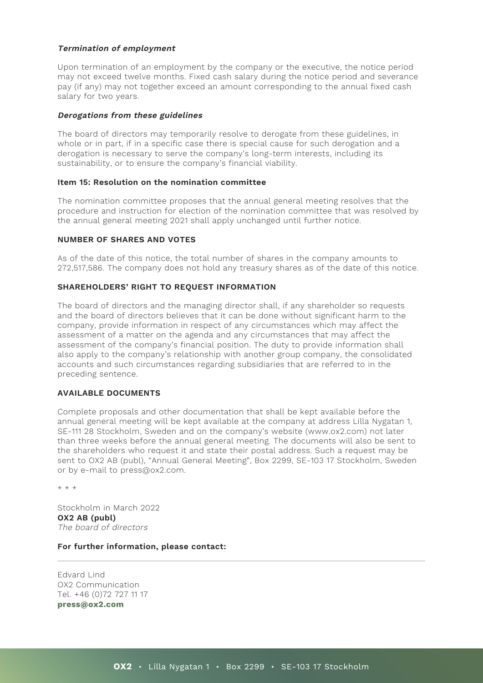# **Termination of employment**

Upon termination of an employment by the company or the executive, the notice period may not exceed twelve months. Fixed cash salary during the notice period and severance pay (if any) may not together exceed an amount corresponding to the annual fixed cash salary for two years.

# **Derogations from these guidelines**

The board of directors may temporarily resolve to derogate from these guidelines, in whole or in part, if in a specific case there is special cause for such derogation and a derogation is necessary to serve the company's long-term interests, including its sustainability, or to ensure the company's financial viability.

## **Item 15: Resolution on the nomination committee**

The nomination committee proposes that the annual general meeting resolves that the procedure and instruction for election of the nomination committee that was resolved by the annual general meeting 2021 shall apply unchanged until further notice.

## **NUMBER OF SHARES AND VOTES**

As of the date of this notice, the total number of shares in the company amounts to 272,517,586. The company does not hold any treasury shares as of the date of this notice.

# **SHAREHOLDERS' RIGHT TO REQUEST INFORMATION**

The board of directors and the managing director shall, if any shareholder so requests and the board of directors believes that it can be done without significant harm to the company, provide information in respect of any circumstances which may affect the assessment of a matter on the agenda and any circumstances that may affect the assessment of the company's financial position. The duty to provide information shall also apply to the company's relationship with another group company, the consolidated accounts and such circumstances regarding subsidiaries that are referred to in the preceding sentence.

# **AVAILABLE DOCUMENTS**

Complete proposals and other documentation that shall be kept available before the annual general meeting will be kept available at the company at address Lilla Nygatan 1, SE-111 28 Stockholm, Sweden and on the company's website (www.ox2.com) not later than three weeks before the annual general meeting. The documents will also be sent to the shareholders who request it and state their postal address. Such a request may be sent to OX2 AB (publ), "Annual General Meeting", Box 2299, SE-103 17 Stockholm, Sweden or by e-mail to press@ox2.com.

\* \* \*

Stockholm in March 2022 **OX2 AB (publ)** The board of directors

## **For further information, please contact:**

Edvard Lind OX2 Communication Tel. +46 (0)72 727 11 17 **[press@ox2.com](mailto:press@ox2.com)**